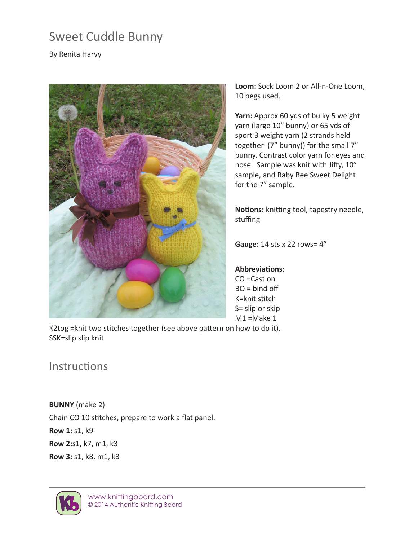# Sweet Cuddle Bunny

By Renita Harvy



**Loom:** Sock Loom 2 or All-n-One Loom, 10 pegs used.

**Yarn:** Approx 60 yds of bulky 5 weight yarn (large 10" bunny) or 65 yds of sport 3 weight yarn (2 strands held together (7" bunny)) for the small 7" bunny. Contrast color yarn for eyes and nose. Sample was knit with Jiffy, 10" sample, and Baby Bee Sweet Delight for the 7" sample.

**Notions:** knitting tool, tapestry needle, stuffing

**Gauge:** 14 sts x 22 rows= 4"

### **Abbreviations:**

CO =Cast on  $BO = bind off$ K=knit stitch S= slip or skip M1 =Make 1

K2tog =knit two stitches together (see above pattern on how to do it). SSK=slip slip knit

## **Instructions**

**BUNNY** (make 2) Chain CO 10 stitches, prepare to work a flat panel. **Row 1:** s1, k9 **Row 2:**s1, k7, m1, k3 **Row 3:** s1, k8, m1, k3

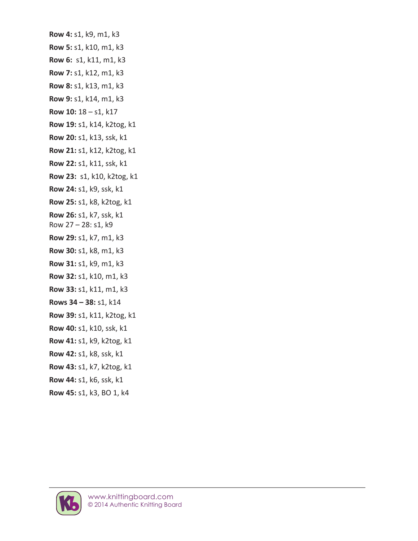**Row 4:** s1, k9, m1, k3 **Row 5:** s1, k10, m1, k3 **Row 6:** s1, k11, m1, k3 **Row 7:** s1, k12, m1, k3 **Row 8:** s1, k13, m1, k3 **Row 9:** s1, k14, m1, k3 **Row 10:** 18 – s1, k17 **Row 19:** s1, k14, k2tog, k1 **Row 20:** s1, k13, ssk, k1 **Row 21:** s1, k12, k2tog, k1 **Row 22:** s1, k11, ssk, k1 **Row 23:** s1, k10, k2tog, k1 **Row 24:** s1, k9, ssk, k1 **Row 25:** s1, k8, k2tog, k1 **Row 26:** s1, k7, ssk, k1 Row 27 – 28: s1, k9 **Row 29:** s1, k7, m1, k3 **Row 30:** s1, k8, m1, k3 **Row 31:** s1, k9, m1, k3 **Row 32:** s1, k10, m1, k3 **Row 33:** s1, k11, m1, k3 **Rows 34 – 38:** s1, k14 **Row 39:** s1, k11, k2tog, k1 **Row 40:** s1, k10, ssk, k1 **Row 41:** s1, k9, k2tog, k1 **Row 42:** s1, k8, ssk, k1 **Row 43:** s1, k7, k2tog, k1 **Row 44:** s1, k6, ssk, k1 **Row 45:** s1, k3, BO 1, k4